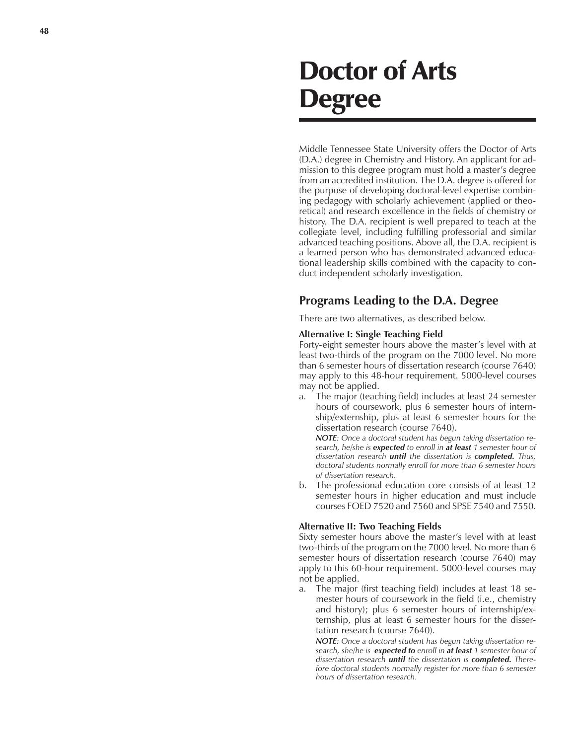# Doctor of Arts Degree

Middle Tennessee State University offers the Doctor of Arts (D.A.) degree in Chemistry and History. An applicant for admission to this degree program must hold a master's degree from an accredited institution. The D.A. degree is offered for the purpose of developing doctoral-level expertise combining pedagogy with scholarly achievement (applied or theoretical) and research excellence in the fields of chemistry or history. The D.A. recipient is well prepared to teach at the collegiate level, including fulfilling professorial and similar advanced teaching positions. Above all, the D.A. recipient is a learned person who has demonstrated advanced educational leadership skills combined with the capacity to conduct independent scholarly investigation.

## **Programs Leading to the D.A. Degree**

There are two alternatives, as described below.

#### **Alternative I: Single Teaching Field**

Forty-eight semester hours above the master's level with at least two-thirds of the program on the 7000 level. No more than 6 semester hours of dissertation research (course 7640) may apply to this 48-hour requirement. 5000-level courses may not be applied.

a. The major (teaching field) includes at least 24 semester hours of coursework, plus 6 semester hours of internship/externship, plus at least 6 semester hours for the dissertation research (course 7640).

*NOTE: Once a doctoral student has begun taking dissertation research, he/she is expected to enroll in at least 1 semester hour of dissertation research until the dissertation is completed. Thus, doctoral students normally enroll for more than 6 semester hours of dissertation research.*

b. The professional education core consists of at least 12 semester hours in higher education and must include courses FOED 7520 and 7560 and SPSE 7540 and 7550.

#### **Alternative II: Two Teaching Fields**

Sixty semester hours above the master's level with at least two-thirds of the program on the 7000 level. No more than 6 semester hours of dissertation research (course 7640) may apply to this 60-hour requirement. 5000-level courses may not be applied.

a. The major (first teaching field) includes at least 18 semester hours of coursework in the field (i.e., chemistry and history); plus 6 semester hours of internship/externship, plus at least 6 semester hours for the dissertation research (course 7640).

*NOTE: Once a doctoral student has begun taking dissertation research, she/he is expected to enroll in at least 1 semester hour of dissertation research until the dissertation is completed. Therefore doctoral students normally register for more than 6 semester hours of dissertation research.*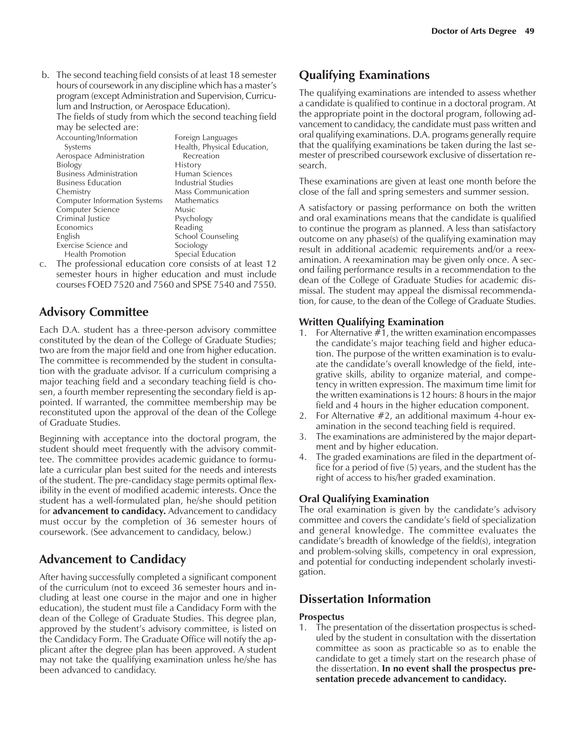b. The second teaching field consists of at least 18 semester hours of coursework in any discipline which has a master's program (except Administration and Supervision, Curriculum and Instruction, or Aerospace Education).

The fields of study from which the second teaching field may be selected are:

| may be selected are:                |                             |
|-------------------------------------|-----------------------------|
| Accounting/Information              | Foreign Languages           |
| Systems                             | Health, Physical Education, |
| Aerospace Administration            | Recreation                  |
| <b>Biology</b>                      | History                     |
| <b>Business Administration</b>      | Human Sciences              |
| <b>Business Education</b>           | Industrial Studies          |
| Chemistry                           | <b>Mass Communication</b>   |
| <b>Computer Information Systems</b> | Mathematics                 |
| Computer Science                    | Music                       |
| Criminal Justice                    | Psychology                  |
| Economics                           | Reading                     |
| English                             | School Counseling           |
| Exercise Science and                | Sociology                   |
| <b>Health Promotion</b>             | Special Education           |

c. The professional education core consists of at least 12 semester hours in higher education and must include courses FOED 7520 and 7560 and SPSE 7540 and 7550.

# **Advisory Committee**

Each D.A. student has a three-person advisory committee constituted by the dean of the College of Graduate Studies; two are from the major field and one from higher education. The committee is recommended by the student in consultation with the graduate advisor. If a curriculum comprising a major teaching field and a secondary teaching field is chosen, a fourth member representing the secondary field is appointed. If warranted, the committee membership may be reconstituted upon the approval of the dean of the College of Graduate Studies.

Beginning with acceptance into the doctoral program, the student should meet frequently with the advisory committee. The committee provides academic guidance to formulate a curricular plan best suited for the needs and interests of the student. The pre-candidacy stage permits optimal flexibility in the event of modified academic interests. Once the student has a well-formulated plan, he/she should petition for **advancement to candidacy.** Advancement to candidacy must occur by the completion of 36 semester hours of coursework. (See advancement to candidacy, below.)

# **Advancement to Candidacy**

After having successfully completed a significant component of the curriculum (not to exceed 36 semester hours and including at least one course in the major and one in higher education), the student must file a Candidacy Form with the dean of the College of Graduate Studies. This degree plan, approved by the student's advisory committee, is listed on the Candidacy Form. The Graduate Office will notify the applicant after the degree plan has been approved. A student may not take the qualifying examination unless he/she has been advanced to candidacy.

# **Qualifying Examinations**

The qualifying examinations are intended to assess whether a candidate is qualified to continue in a doctoral program. At the appropriate point in the doctoral program, following advancement to candidacy, the candidate must pass written and oral qualifying examinations. D.A. programs generally require that the qualifying examinations be taken during the last semester of prescribed coursework exclusive of dissertation research.

These examinations are given at least one month before the close of the fall and spring semesters and summer session.

A satisfactory or passing performance on both the written and oral examinations means that the candidate is qualified to continue the program as planned. A less than satisfactory outcome on any phase(s) of the qualifying examination may result in additional academic requirements and/or a reexamination. A reexamination may be given only once. A second failing performance results in a recommendation to the dean of the College of Graduate Studies for academic dismissal. The student may appeal the dismissal recommendation, for cause, to the dean of the College of Graduate Studies.

#### **Written Qualifying Examination**

- 1. For Alternative  $#1$ , the written examination encompasses the candidate's major teaching field and higher education. The purpose of the written examination is to evaluate the candidate's overall knowledge of the field, integrative skills, ability to organize material, and competency in written expression. The maximum time limit for the written examinations is 12 hours: 8 hours in the major field and 4 hours in the higher education component.
- 2. For Alternative #2, an additional maximum 4-hour examination in the second teaching field is required.
- 3. The examinations are administered by the major department and by higher education.
- 4. The graded examinations are filed in the department office for a period of five (5) years, and the student has the right of access to his/her graded examination.

#### **Oral Qualifying Examination**

The oral examination is given by the candidate's advisory committee and covers the candidate's field of specialization and general knowledge. The committee evaluates the candidate's breadth of knowledge of the field(s), integration and problem-solving skills, competency in oral expression, and potential for conducting independent scholarly investigation.

## **Dissertation Information**

#### **Prospectus**

1. The presentation of the dissertation prospectus is scheduled by the student in consultation with the dissertation committee as soon as practicable so as to enable the candidate to get a timely start on the research phase of the dissertation. **In no event shall the prospectus presentation precede advancement to candidacy.**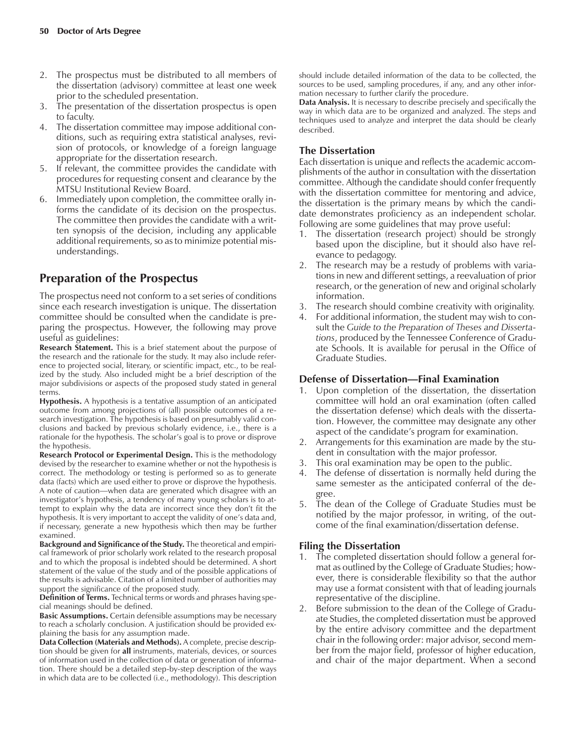- 2. The prospectus must be distributed to all members of the dissertation (advisory) committee at least one week prior to the scheduled presentation.
- 3. The presentation of the dissertation prospectus is open to faculty.
- 4. The dissertation committee may impose additional conditions, such as requiring extra statistical analyses, revision of protocols, or knowledge of a foreign language appropriate for the dissertation research.
- 5. If relevant, the committee provides the candidate with procedures for requesting consent and clearance by the MTSU Institutional Review Board.
- 6. Immediately upon completion, the committee orally informs the candidate of its decision on the prospectus. The committee then provides the candidate with a written synopsis of the decision, including any applicable additional requirements, so as to minimize potential misunderstandings.

# **Preparation of the Prospectus**

The prospectus need not conform to a set series of conditions since each research investigation is unique. The dissertation committee should be consulted when the candidate is preparing the prospectus. However, the following may prove useful as guidelines:

**Research Statement.** This is a brief statement about the purpose of the research and the rationale for the study. It may also include reference to projected social, literary, or scientific impact, etc., to be realized by the study. Also included might be a brief description of the major subdivisions or aspects of the proposed study stated in general terms.

**Hypothesis.** A hypothesis is a tentative assumption of an anticipated outcome from among projections of (all) possible outcomes of a research investigation. The hypothesis is based on presumably valid conclusions and backed by previous scholarly evidence, i.e., there is a rationale for the hypothesis. The scholar's goal is to prove or disprove the hypothesis.

**Research Protocol or Experimental Design.** This is the methodology devised by the researcher to examine whether or not the hypothesis is correct. The methodology or testing is performed so as to generate data (facts) which are used either to prove or disprove the hypothesis. A note of caution—when data are generated which disagree with an investigator's hypothesis, a tendency of many young scholars is to attempt to explain why the data are incorrect since they don't fit the hypothesis. It is very important to accept the validity of one's data and, if necessary, generate a new hypothesis which then may be further examined.

**Background and Significance of the Study.** The theoretical and empirical framework of prior scholarly work related to the research proposal and to which the proposal is indebted should be determined. A short statement of the value of the study and of the possible applications of the results is advisable. Citation of a limited number of authorities may support the significance of the proposed study.

**Definition of Terms.** Technical terms or words and phrases having special meanings should be defined.

**Basic Assumptions.** Certain defensible assumptions may be necessary to reach a scholarly conclusion. A justification should be provided explaining the basis for any assumption made.

**Data Collection (Materials and Methods).** A complete, precise description should be given for **all** instruments, materials, devices, or sources of information used in the collection of data or generation of information. There should be a detailed step-by-step description of the ways in which data are to be collected (i.e., methodology). This description should include detailed information of the data to be collected, the sources to be used, sampling procedures, if any, and any other information necessary to further clarify the procedure.

**Data Analysis.** It is necessary to describe precisely and specifically the way in which data are to be organized and analyzed. The steps and techniques used to analyze and interpret the data should be clearly described.

#### **The Dissertation**

Each dissertation is unique and reflects the academic accomplishments of the author in consultation with the dissertation committee. Although the candidate should confer frequently with the dissertation committee for mentoring and advice, the dissertation is the primary means by which the candidate demonstrates proficiency as an independent scholar. Following are some guidelines that may prove useful:

- 1. The dissertation (research project) should be strongly based upon the discipline, but it should also have relevance to pedagogy.
- 2. The research may be a restudy of problems with variations in new and different settings, a reevaluation of prior research, or the generation of new and original scholarly information.
- 3. The research should combine creativity with originality.
- 4. For additional information, the student may wish to consult the *Guide to the Preparation of Theses and Dissertations*, produced by the Tennessee Conference of Graduate Schools. It is available for perusal in the Office of Graduate Studies.

#### **Defense of Dissertation—Final Examination**

- 1. Upon completion of the dissertation, the dissertation committee will hold an oral examination (often called the dissertation defense) which deals with the dissertation. However, the committee may designate any other aspect of the candidate's program for examination.
- 2. Arrangements for this examination are made by the student in consultation with the major professor.
- 3. This oral examination may be open to the public.
- 4. The defense of dissertation is normally held during the same semester as the anticipated conferral of the degree.
- 5. The dean of the College of Graduate Studies must be notified by the major professor, in writing, of the outcome of the final examination/dissertation defense.

#### **Filing the Dissertation**

- 1. The completed dissertation should follow a general format as outlined by the College of Graduate Studies; however, there is considerable flexibility so that the author may use a format consistent with that of leading journals representative of the discipline.
- 2. Before submission to the dean of the College of Graduate Studies, the completed dissertation must be approved by the entire advisory committee and the department chair in the following order: major advisor, second member from the major field, professor of higher education, and chair of the major department. When a second